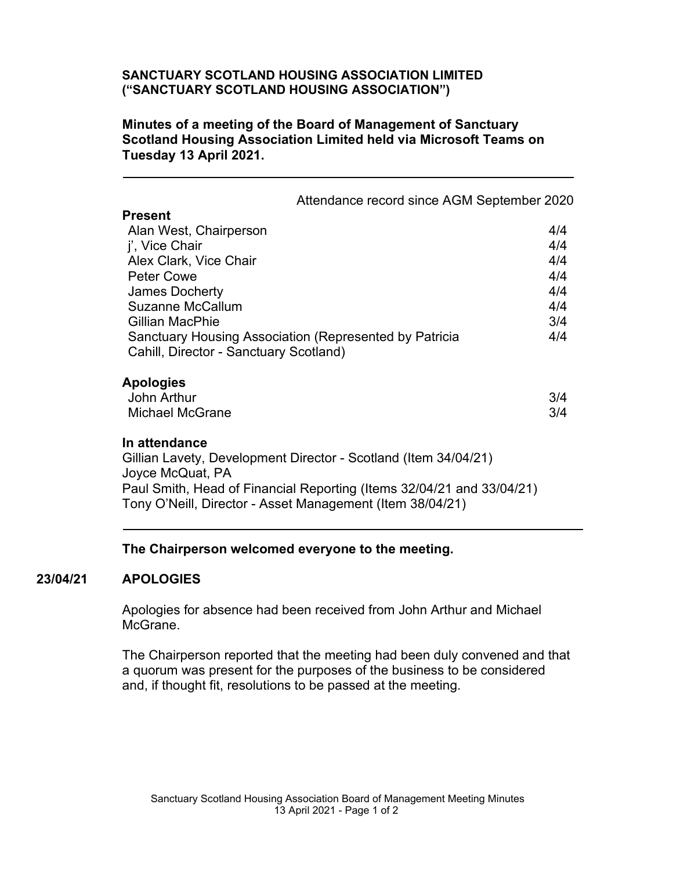# **SANCTUARY SCOTLAND HOUSING ASSOCIATION LIMITED ("SANCTUARY SCOTLAND HOUSING ASSOCIATION")**

## **Minutes of a meeting of the Board of Management of Sanctuary Scotland Housing Association Limited held via Microsoft Teams on Tuesday 13 April 2021.**

| Attendance record since AGM September 2020                                                                                                                                                                                                 |            |
|--------------------------------------------------------------------------------------------------------------------------------------------------------------------------------------------------------------------------------------------|------------|
| <b>Present</b>                                                                                                                                                                                                                             |            |
| Alan West, Chairperson                                                                                                                                                                                                                     | 4/4        |
| j', Vice Chair                                                                                                                                                                                                                             | 4/4        |
| Alex Clark, Vice Chair                                                                                                                                                                                                                     | 4/4        |
| Peter Cowe                                                                                                                                                                                                                                 | 4/4        |
| <b>James Docherty</b>                                                                                                                                                                                                                      | 4/4        |
| Suzanne McCallum                                                                                                                                                                                                                           | 4/4        |
| Gillian MacPhie                                                                                                                                                                                                                            | 3/4        |
| Sanctuary Housing Association (Represented by Patricia<br>Cahill, Director - Sanctuary Scotland)                                                                                                                                           | 4/4        |
| <b>Apologies</b><br>John Arthur<br><b>Michael McGrane</b>                                                                                                                                                                                  | 3/4<br>3/4 |
| In attendance<br>Gillian Lavety, Development Director - Scotland (Item 34/04/21)<br>Joyce McQuat, PA<br>Paul Smith, Head of Financial Reporting (Items 32/04/21 and 33/04/21)<br>Tony O'Neill, Director - Asset Management (Item 38/04/21) |            |

#### **The Chairperson welcomed everyone to the meeting.**

#### **23/04/21 APOLOGIES**

Apologies for absence had been received from John Arthur and Michael McGrane.

The Chairperson reported that the meeting had been duly convened and that a quorum was present for the purposes of the business to be considered and, if thought fit, resolutions to be passed at the meeting.